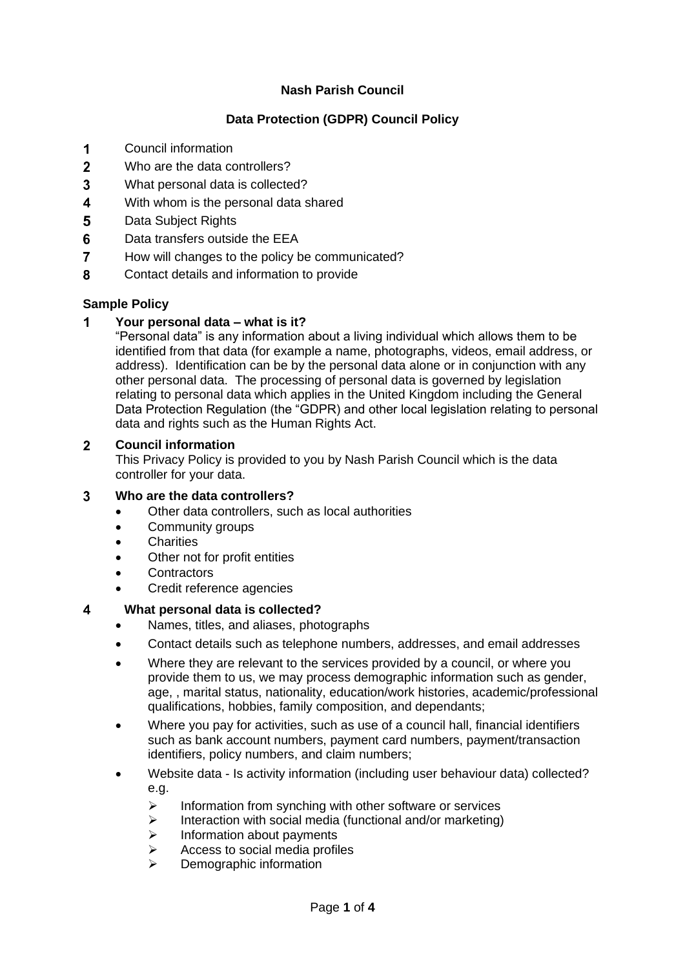# **Nash Parish Council**

# **Data Protection (GDPR) Council Policy**

- $\overline{1}$ Council information
- $\overline{2}$ Who are the data controllers?
- 3 What personal data is collected?
- $\overline{\mathbf{4}}$ With whom is the personal data shared
- 5 Data Subject Rights
- 6 Data transfers outside the EEA
- $\overline{7}$ How will changes to the policy be communicated?
- $\mathbf{R}$ Contact details and information to provide

### **Sample Policy**

#### $\overline{\mathbf{1}}$ **Your personal data – what is it?**

"Personal data" is any information about a living individual which allows them to be identified from that data (for example a name, photographs, videos, email address, or address). Identification can be by the personal data alone or in conjunction with any other personal data. The processing of personal data is governed by legislation relating to personal data which applies in the United Kingdom including the General Data Protection Regulation (the "GDPR) and other local legislation relating to personal data and rights such as the Human Rights Act.

#### $2<sup>1</sup>$ **Council information**

This Privacy Policy is provided to you by Nash Parish Council which is the data controller for your data.

#### **Who are the data controllers?**  $3<sup>1</sup>$

- Other data controllers, such as local authorities
- Community groups
- **Charities**
- Other not for profit entities
- **Contractors**
- Credit reference agencies

#### $\overline{\mathbf{4}}$ **What personal data is collected?**

- Names, titles, and aliases, photographs
- Contact details such as telephone numbers, addresses, and email addresses
- Where they are relevant to the services provided by a council, or where you provide them to us, we may process demographic information such as gender, age, , marital status, nationality, education/work histories, academic/professional qualifications, hobbies, family composition, and dependants;
- Where you pay for activities, such as use of a council hall, financial identifiers such as bank account numbers, payment card numbers, payment/transaction identifiers, policy numbers, and claim numbers;
- Website data Is activity information (including user behaviour data) collected? e.g.
	- ➢ Information from synching with other software or services
	- ➢ Interaction with social media (functional and/or marketing)
	- ➢ Information about payments
	- ➢ Access to social media profiles
	- Demographic information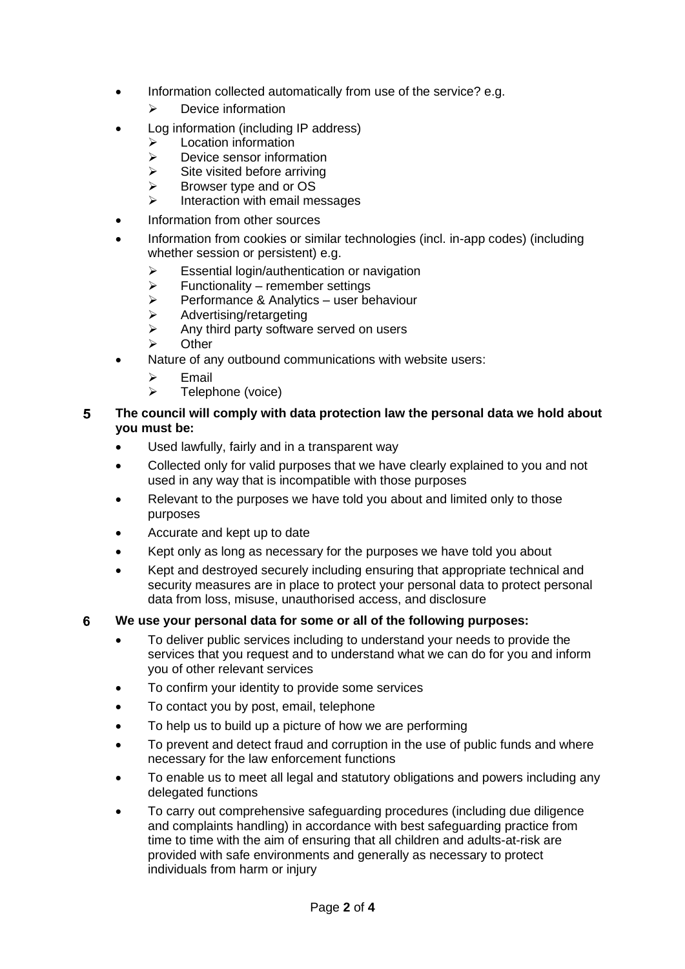- Information collected automatically from use of the service? e.g.
	- ➢ Device information
- Log information (including IP address)
	- ➢ Location information
	- ➢ Device sensor information
	- $\triangleright$  Site visited before arriving
	- ➢ Browser type and or OS
	- ➢ Interaction with email messages
- Information from other sources
- Information from cookies or similar technologies (incl. in-app codes) (including whether session or persistent) e.g.
	- ➢ Essential login/authentication or navigation
	- $\triangleright$  Functionality remember settings
	- ➢ Performance & Analytics user behaviour
	- ➢ Advertising/retargeting
	- $\triangleright$  Any third party software served on users
	- ➢ Other
	- Nature of any outbound communications with website users:
		- ➢ Email
		- ➢ Telephone (voice)

### 5 **The council will comply with data protection law the personal data we hold about you must be:**

- Used lawfully, fairly and in a transparent way
- Collected only for valid purposes that we have clearly explained to you and not used in any way that is incompatible with those purposes
- Relevant to the purposes we have told you about and limited only to those purposes
- Accurate and kept up to date
- Kept only as long as necessary for the purposes we have told you about
- Kept and destroyed securely including ensuring that appropriate technical and security measures are in place to protect your personal data to protect personal data from loss, misuse, unauthorised access, and disclosure

#### 6 **We use your personal data for some or all of the following purposes:**

- To deliver public services including to understand your needs to provide the services that you request and to understand what we can do for you and inform you of other relevant services
- To confirm your identity to provide some services
- To contact you by post, email, telephone
- To help us to build up a picture of how we are performing
- To prevent and detect fraud and corruption in the use of public funds and where necessary for the law enforcement functions
- To enable us to meet all legal and statutory obligations and powers including any delegated functions
- To carry out comprehensive safeguarding procedures (including due diligence and complaints handling) in accordance with best safeguarding practice from time to time with the aim of ensuring that all children and adults-at-risk are provided with safe environments and generally as necessary to protect individuals from harm or injury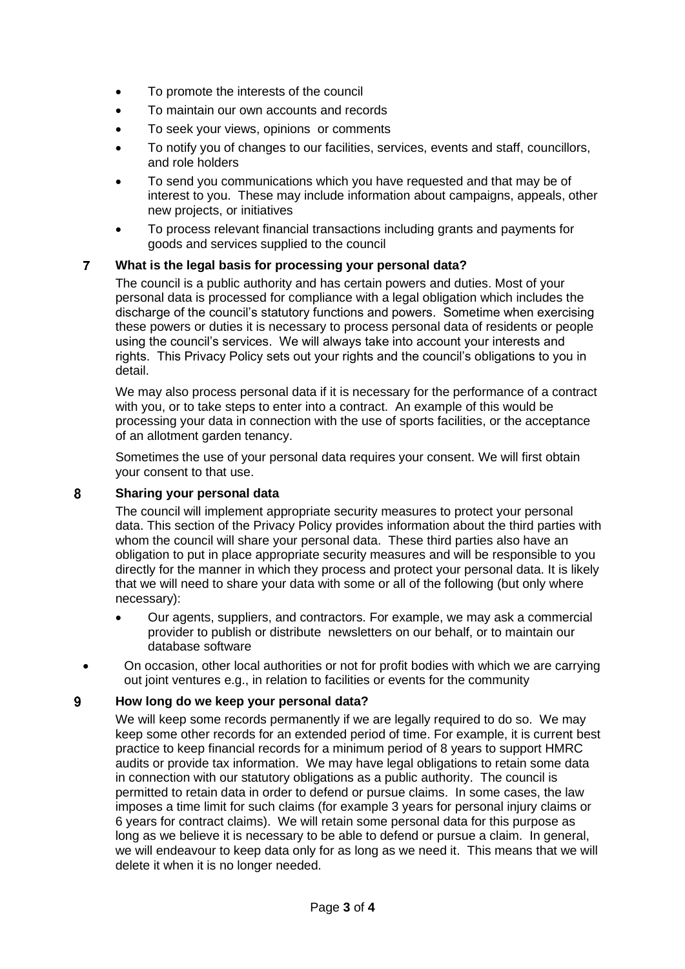- To promote the interests of the council
- To maintain our own accounts and records
- To seek your views, opinions or comments
- To notify you of changes to our facilities, services, events and staff, councillors, and role holders
- To send you communications which you have requested and that may be of interest to you. These may include information about campaigns, appeals, other new projects, or initiatives
- To process relevant financial transactions including grants and payments for goods and services supplied to the council

#### $\overline{7}$ **What is the legal basis for processing your personal data?**

The council is a public authority and has certain powers and duties. Most of your personal data is processed for compliance with a legal obligation which includes the discharge of the council's statutory functions and powers. Sometime when exercising these powers or duties it is necessary to process personal data of residents or people using the council's services. We will always take into account your interests and rights. This Privacy Policy sets out your rights and the council's obligations to you in detail.

We may also process personal data if it is necessary for the performance of a contract with you, or to take steps to enter into a contract. An example of this would be processing your data in connection with the use of sports facilities, or the acceptance of an allotment garden tenancy.

Sometimes the use of your personal data requires your consent. We will first obtain your consent to that use.

#### 8 **Sharing your personal data**

The council will implement appropriate security measures to protect your personal data. This section of the Privacy Policy provides information about the third parties with whom the council will share your personal data. These third parties also have an obligation to put in place appropriate security measures and will be responsible to you directly for the manner in which they process and protect your personal data. It is likely that we will need to share your data with some or all of the following (but only where necessary):

- Our agents, suppliers, and contractors. For example, we may ask a commercial provider to publish or distribute newsletters on our behalf, or to maintain our database software
- On occasion, other local authorities or not for profit bodies with which we are carrying out joint ventures e.g., in relation to facilities or events for the community

#### 9 **How long do we keep your personal data?**

We will keep some records permanently if we are legally required to do so. We may keep some other records for an extended period of time. For example, it is current best practice to keep financial records for a minimum period of 8 years to support HMRC audits or provide tax information. We may have legal obligations to retain some data in connection with our statutory obligations as a public authority. The council is permitted to retain data in order to defend or pursue claims. In some cases, the law imposes a time limit for such claims (for example 3 years for personal injury claims or 6 years for contract claims). We will retain some personal data for this purpose as long as we believe it is necessary to be able to defend or pursue a claim. In general, we will endeavour to keep data only for as long as we need it. This means that we will delete it when it is no longer needed.